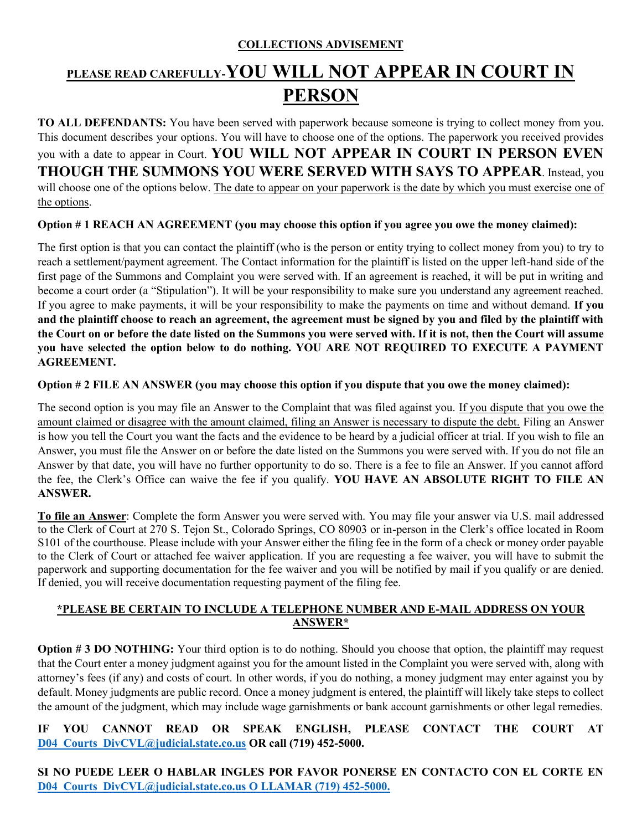### **COLLECTIONS ADVISEMENT**

# **PLEASE READ CAREFULLY-YOU WILL NOT APPEAR IN COURT IN PERSON**

**TO ALL DEFENDANTS:** You have been served with paperwork because someone is trying to collect money from you. This document describes your options. You will have to choose one of the options. The paperwork you received provides you with a date to appear in Court. **YOU WILL NOT APPEAR IN COURT IN PERSON EVEN THOUGH THE SUMMONS YOU WERE SERVED WITH SAYS TO APPEAR**. Instead, you will choose one of the options below. The date to appear on your paperwork is the date by which you must exercise one of the options.

#### **Option # 1 REACH AN AGREEMENT (you may choose this option if you agree you owe the money claimed):**

The first option is that you can contact the plaintiff (who is the person or entity trying to collect money from you) to try to reach a settlement/payment agreement. The Contact information for the plaintiff is listed on the upper left-hand side of the first page of the Summons and Complaint you were served with. If an agreement is reached, it will be put in writing and become a court order (a "Stipulation"). It will be your responsibility to make sure you understand any agreement reached. If you agree to make payments, it will be your responsibility to make the payments on time and without demand. **If you and the plaintiff choose to reach an agreement, the agreement must be signed by you and filed by the plaintiff with the Court on or before the date listed on the Summons you were served with. If it is not, then the Court will assume you have selected the option below to do nothing. YOU ARE NOT REQUIRED TO EXECUTE A PAYMENT AGREEMENT.**

#### **Option # 2 FILE AN ANSWER (you may choose this option if you dispute that you owe the money claimed):**

The second option is you may file an Answer to the Complaint that was filed against you. If you dispute that you owe the amount claimed or disagree with the amount claimed, filing an Answer is necessary to dispute the debt. Filing an Answer is how you tell the Court you want the facts and the evidence to be heard by a judicial officer at trial. If you wish to file an Answer, you must file the Answer on or before the date listed on the Summons you were served with. If you do not file an Answer by that date, you will have no further opportunity to do so. There is a fee to file an Answer. If you cannot afford the fee, the Clerk's Office can waive the fee if you qualify. **YOU HAVE AN ABSOLUTE RIGHT TO FILE AN ANSWER.**

**To file an Answer**: Complete the form Answer you were served with. You may file your answer via U.S. mail addressed to the Clerk of Court at 270 S. Tejon St., Colorado Springs, CO 80903 or in-person in the Clerk's office located in Room S101 of the courthouse. Please include with your Answer either the filing fee in the form of a check or money order payable to the Clerk of Court or attached fee waiver application. If you are requesting a fee waiver, you will have to submit the paperwork and supporting documentation for the fee waiver and you will be notified by mail if you qualify or are denied. If denied, you will receive documentation requesting payment of the filing fee.

### **\*PLEASE BE CERTAIN TO INCLUDE A TELEPHONE NUMBER AND E-MAIL ADDRESS ON YOUR ANSWER\***

**Option # 3 DO NOTHING:** Your third option is to do nothing. Should you choose that option, the plaintiff may request that the Court enter a money judgment against you for the amount listed in the Complaint you were served with, along with attorney's fees (if any) and costs of court. In other words, if you do nothing, a money judgment may enter against you by default. Money judgments are public record. Once a money judgment is entered, the plaintiff will likely take steps to collect the amount of the judgment, which may include wage garnishments or bank account garnishments or other legal remedies.

**IF YOU CANNOT READ OR SPEAK ENGLISH, PLEASE CONTACT THE COURT AT [D04\\_Courts\\_DivCVL@judicial.state.co.us](mailto:D04_Courts_DivCVL@judicial.state.co.us) OR call (719) 452-5000.** 

**SI NO PUEDE LEER O HABLAR INGLES POR FAVOR PONERSE EN CONTACTO CON EL CORTE EN [D04\\_Courts\\_DivCVL@judicial.state.co.us](mailto:D04_Courts_DivCVL@judicial.state.co.us) O LLAMAR (719) 452-5000.**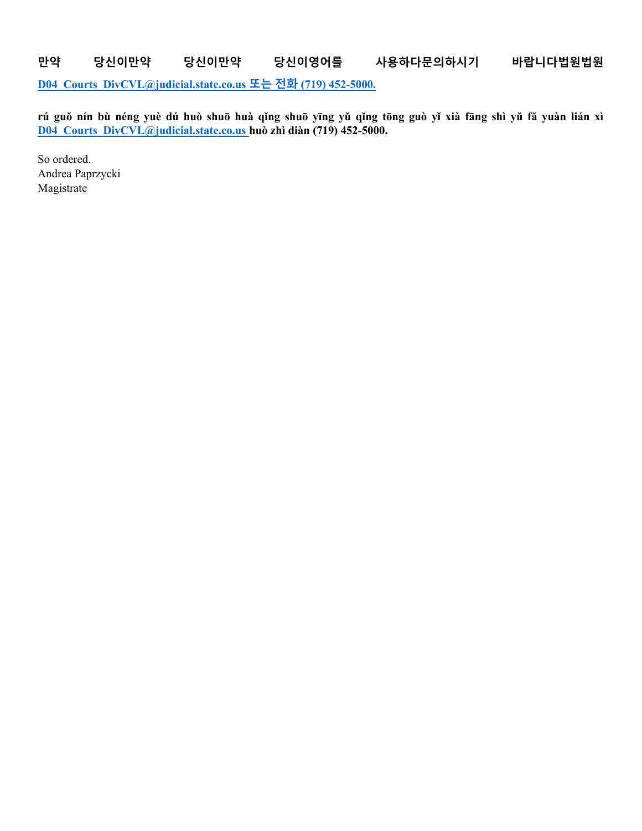**만약 당신이만약 당신이만약 당신이영어를 사용하다문의하시기 바랍니다법원법원 [D04\\_Courts\\_DivCVL@judicial.state.co.us](mailto:D04_Courts_DivCVL@judicial.state.co.us) 또는 전화 (719) 452-5000.**

**rú guǒ nín bù néng yuè dú huò shuō huà qǐng shuō yīng yǔ qǐng tōng guò yǐ xià fāng shì yǔ fǎ yuàn lián xì [D04\\_Courts\\_DivCVL@judicial.state.co.us](mailto:D04_Courts_DivCVL@judicial.state.co.us) huò zhì diàn (719) 452-5000.**

So ordered. Andrea Paprzycki Magistrate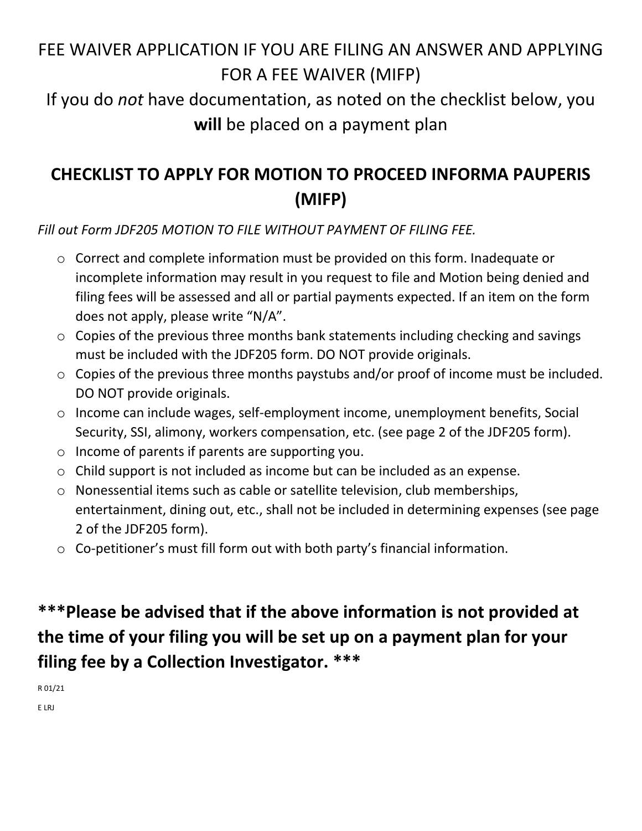# FEE WAIVER APPLICATION IF YOU ARE FILING AN ANSWER AND APPLYING FOR A FEE WAIVER (MIFP)

If you do *not* have documentation, as noted on the checklist below, you **will** be placed on a payment plan

# **CHECKLIST TO APPLY FOR MOTION TO PROCEED INFORMA PAUPERIS (MIFP)**

*Fill out Form JDF205 MOTION TO FILE WITHOUT PAYMENT OF FILING FEE.*

- o Correct and complete information must be provided on this form. Inadequate or incomplete information may result in you request to file and Motion being denied and filing fees will be assessed and all or partial payments expected. If an item on the form does not apply, please write "N/A".
- o Copies of the previous three months bank statements including checking and savings must be included with the JDF205 form. DO NOT provide originals.
- $\circ$  Copies of the previous three months paystubs and/or proof of income must be included. DO NOT provide originals.
- o Income can include wages, self-employment income, unemployment benefits, Social Security, SSI, alimony, workers compensation, etc. (see page 2 of the JDF205 form).
- o Income of parents if parents are supporting you.
- o Child support is not included as income but can be included as an expense.
- o Nonessential items such as cable or satellite television, club memberships, entertainment, dining out, etc., shall not be included in determining expenses (see page 2 of the JDF205 form).
- o Co-petitioner's must fill form out with both party's financial information.

# **\*\*\*Please be advised that if the above information is not provided at the time of your filing you will be set up on a payment plan for your filing fee by a Collection Investigator. \*\*\***

R 01/21

E LRJ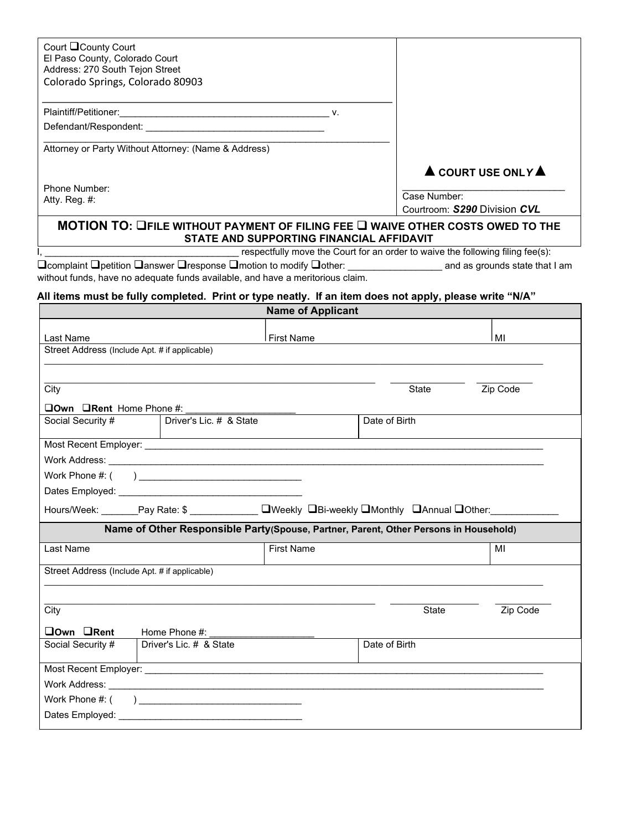| Court County Court                                                                                                                                                                                                                                            |                         |                                                            |                                                                                      |                                                  |  |
|---------------------------------------------------------------------------------------------------------------------------------------------------------------------------------------------------------------------------------------------------------------|-------------------------|------------------------------------------------------------|--------------------------------------------------------------------------------------|--------------------------------------------------|--|
| El Paso County, Colorado Court<br>Address: 270 South Tejon Street                                                                                                                                                                                             |                         |                                                            |                                                                                      |                                                  |  |
| Colorado Springs, Colorado 80903                                                                                                                                                                                                                              |                         |                                                            |                                                                                      |                                                  |  |
|                                                                                                                                                                                                                                                               |                         |                                                            |                                                                                      |                                                  |  |
|                                                                                                                                                                                                                                                               |                         |                                                            |                                                                                      |                                                  |  |
|                                                                                                                                                                                                                                                               |                         |                                                            |                                                                                      |                                                  |  |
| Attorney or Party Without Attorney: (Name & Address)                                                                                                                                                                                                          |                         |                                                            |                                                                                      |                                                  |  |
|                                                                                                                                                                                                                                                               |                         |                                                            |                                                                                      |                                                  |  |
|                                                                                                                                                                                                                                                               |                         |                                                            |                                                                                      | $\blacktriangle$ COURT USE ONLY $\blacktriangle$ |  |
| Phone Number:                                                                                                                                                                                                                                                 |                         |                                                            | Case Number:                                                                         |                                                  |  |
| Atty. Reg. #:                                                                                                                                                                                                                                                 |                         |                                                            | Courtroom: S290 Division CVL                                                         |                                                  |  |
|                                                                                                                                                                                                                                                               |                         | STATE AND SUPPORTING FINANCIAL AFFIDAVIT                   | MOTION TO: LIFILE WITHOUT PAYMENT OF FILING FEE L WAIVE OTHER COSTS OWED TO THE      |                                                  |  |
|                                                                                                                                                                                                                                                               |                         |                                                            | respectfully move the Court for an order to waive the following filing fee(s):       |                                                  |  |
| $\square$ complaint $\square$ petition $\square$ answer $\square$ response $\square$ motion to modify $\square$ other: _____________________ and as grounds state that I am<br>without funds, have no adequate funds available, and have a meritorious claim. |                         |                                                            |                                                                                      |                                                  |  |
| All items must be fully completed. Print or type neatly. If an item does not apply, please write "N/A"                                                                                                                                                        |                         |                                                            |                                                                                      |                                                  |  |
|                                                                                                                                                                                                                                                               |                         | <b>Name of Applicant</b>                                   |                                                                                      |                                                  |  |
|                                                                                                                                                                                                                                                               |                         |                                                            |                                                                                      |                                                  |  |
| Last Name                                                                                                                                                                                                                                                     |                         | First Name                                                 |                                                                                      | MI                                               |  |
| Street Address (Include Apt. # if applicable)                                                                                                                                                                                                                 |                         |                                                            |                                                                                      |                                                  |  |
|                                                                                                                                                                                                                                                               |                         |                                                            |                                                                                      |                                                  |  |
| City                                                                                                                                                                                                                                                          |                         |                                                            | State                                                                                | Zip Code                                         |  |
| $\Box$ Own $\Box$ Rent Home Phone #:                                                                                                                                                                                                                          |                         |                                                            |                                                                                      |                                                  |  |
| Social Security #                                                                                                                                                                                                                                             | Driver's Lic. # & State |                                                            | Date of Birth                                                                        |                                                  |  |
|                                                                                                                                                                                                                                                               |                         | <u> 1980 - Johann Barbara, martxa alemaniar amerikan a</u> |                                                                                      |                                                  |  |
|                                                                                                                                                                                                                                                               |                         |                                                            |                                                                                      |                                                  |  |
|                                                                                                                                                                                                                                                               |                         |                                                            |                                                                                      |                                                  |  |
|                                                                                                                                                                                                                                                               |                         |                                                            |                                                                                      |                                                  |  |
|                                                                                                                                                                                                                                                               |                         |                                                            |                                                                                      |                                                  |  |
| Hours/Week: Pay Rate: \$                                                                                                                                                                                                                                      |                         |                                                            | <sub>___</sub> □Weekly □Bi-weekly □Monthly □Annual □Other:_                          |                                                  |  |
|                                                                                                                                                                                                                                                               |                         |                                                            | Name of Other Responsible Party(Spouse, Partner, Parent, Other Persons in Household) |                                                  |  |
| Last Name                                                                                                                                                                                                                                                     |                         | <b>First Name</b>                                          |                                                                                      | MI                                               |  |
| Street Address (Include Apt. # if applicable)                                                                                                                                                                                                                 |                         |                                                            |                                                                                      |                                                  |  |
|                                                                                                                                                                                                                                                               |                         |                                                            |                                                                                      |                                                  |  |
| City                                                                                                                                                                                                                                                          |                         |                                                            | State                                                                                | Zip Code                                         |  |
| <b>Own ORent</b>                                                                                                                                                                                                                                              | Home Phone #:           |                                                            |                                                                                      |                                                  |  |
| Social Security #                                                                                                                                                                                                                                             | Driver's Lic. # & State |                                                            | Date of Birth                                                                        |                                                  |  |
|                                                                                                                                                                                                                                                               |                         |                                                            |                                                                                      |                                                  |  |
|                                                                                                                                                                                                                                                               |                         |                                                            |                                                                                      |                                                  |  |
|                                                                                                                                                                                                                                                               |                         |                                                            |                                                                                      |                                                  |  |
|                                                                                                                                                                                                                                                               |                         |                                                            |                                                                                      |                                                  |  |
|                                                                                                                                                                                                                                                               |                         |                                                            |                                                                                      |                                                  |  |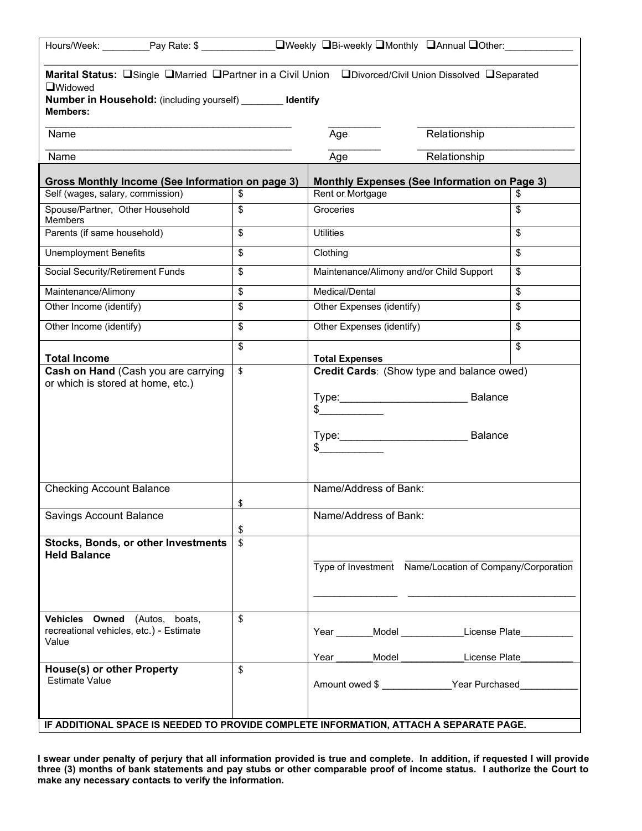| Marital Status: OSingle OMarried OPartner in a Civil Union ODivorced/Civil Union Dissolved OSeparated<br>□Widowed<br><b>Number in Household:</b> (including yourself) ldentify<br><b>Members:</b> |    |                                                                       |               |    |  |  |  |
|---------------------------------------------------------------------------------------------------------------------------------------------------------------------------------------------------|----|-----------------------------------------------------------------------|---------------|----|--|--|--|
| Name                                                                                                                                                                                              |    | Age                                                                   | Relationship  |    |  |  |  |
| Name                                                                                                                                                                                              |    | Age                                                                   | Relationship  |    |  |  |  |
| Gross Monthly Income (See Information on page 3)<br><b>Monthly Expenses (See Information on Page 3)</b>                                                                                           |    |                                                                       |               |    |  |  |  |
| Self (wages, salary, commission)                                                                                                                                                                  | \$ | Rent or Mortgage                                                      |               | S  |  |  |  |
| Spouse/Partner, Other Household<br>Members                                                                                                                                                        | \$ | Groceries                                                             |               | \$ |  |  |  |
| Parents (if same household)                                                                                                                                                                       | \$ | <b>Utilities</b>                                                      | \$            |    |  |  |  |
| <b>Unemployment Benefits</b>                                                                                                                                                                      | \$ | Clothing                                                              |               | \$ |  |  |  |
| Social Security/Retirement Funds                                                                                                                                                                  | \$ | Maintenance/Alimony and/or Child Support                              |               | \$ |  |  |  |
| Maintenance/Alimony                                                                                                                                                                               | \$ | Medical/Dental                                                        |               | \$ |  |  |  |
| Other Income (identify)                                                                                                                                                                           | \$ | Other Expenses (identify)                                             |               | \$ |  |  |  |
| Other Income (identify)                                                                                                                                                                           | \$ | Other Expenses (identify)                                             |               | \$ |  |  |  |
| <b>Total Income</b>                                                                                                                                                                               | \$ | <b>Total Expenses</b>                                                 |               | \$ |  |  |  |
| Cash on Hand (Cash you are carrying<br>or which is stored at home, etc.)                                                                                                                          | \$ | Credit Cards: (Show type and balance owed)<br>$\frac{1}{2}$<br>$\sim$ |               |    |  |  |  |
| <b>Checking Account Balance</b>                                                                                                                                                                   | \$ | Name/Address of Bank:                                                 |               |    |  |  |  |
| <b>Savings Account Balance</b>                                                                                                                                                                    | \$ | Name/Address of Bank:                                                 |               |    |  |  |  |
| \$<br><b>Stocks, Bonds, or other Investments</b><br><b>Held Balance</b>                                                                                                                           |    | Type of Investment Name/Location of Company/Corporation               |               |    |  |  |  |
| Vehicles Owned (Autos, boats,<br>recreational vehicles, etc.) - Estimate<br>Value                                                                                                                 | \$ | Year Model License Plate<br>Model __<br>Year                          | License Plate |    |  |  |  |
| <b>House(s) or other Property</b><br><b>Estimate Value</b>                                                                                                                                        | \$ | Amount owed \$ ________________Year Purchased                         |               |    |  |  |  |
| IF ADDITIONAL SPACE IS NEEDED TO PROVIDE COMPLETE INFORMATION, ATTACH A SEPARATE PAGE.                                                                                                            |    |                                                                       |               |    |  |  |  |

**I swear under penalty of perjury that all information provided is true and complete. In addition, if requested I will provide three (3) months of bank statements and pay stubs or other comparable proof of income status. I authorize the Court to make any necessary contacts to verify the information.**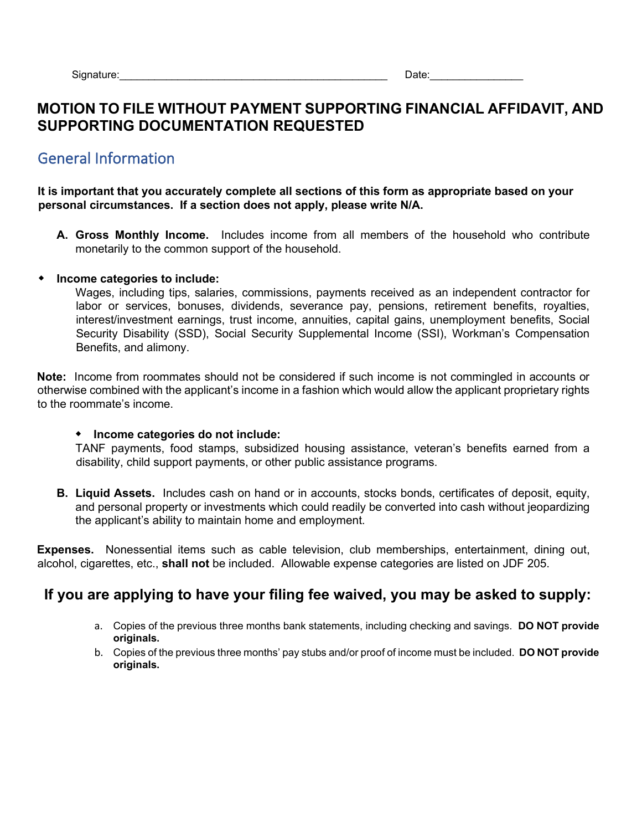## **MOTION TO FILE WITHOUT PAYMENT SUPPORTING FINANCIAL AFFIDAVIT, AND SUPPORTING DOCUMENTATION REQUESTED**

## General Information

**It is important that you accurately complete all sections of this form as appropriate based on your personal circumstances. If a section does not apply, please write N/A.** 

**A. Gross Monthly Income.** Includes income from all members of the household who contribute monetarily to the common support of the household.

#### **Income categories to include:**

Wages, including tips, salaries, commissions, payments received as an independent contractor for labor or services, bonuses, dividends, severance pay, pensions, retirement benefits, royalties, interest/investment earnings, trust income, annuities, capital gains, unemployment benefits, Social Security Disability (SSD), Social Security Supplemental Income (SSI), Workman's Compensation Benefits, and alimony.

**Note:** Income from roommates should not be considered if such income is not commingled in accounts or otherwise combined with the applicant's income in a fashion which would allow the applicant proprietary rights to the roommate's income.

#### **Income categories do not include:**

TANF payments, food stamps, subsidized housing assistance, veteran's benefits earned from a disability, child support payments, or other public assistance programs.

**B. Liquid Assets.** Includes cash on hand or in accounts, stocks bonds, certificates of deposit, equity, and personal property or investments which could readily be converted into cash without jeopardizing the applicant's ability to maintain home and employment.

**Expenses.** Nonessential items such as cable television, club memberships, entertainment, dining out, alcohol, cigarettes, etc., **shall not** be included. Allowable expense categories are listed on JDF 205.

## **If you are applying to have your filing fee waived, you may be asked to supply:**

- a. Copies of the previous three months bank statements, including checking and savings. **DO NOT provide originals.**
- b. Copies of the previous three months' pay stubs and/or proof of income must be included. **DO NOT provide originals.**